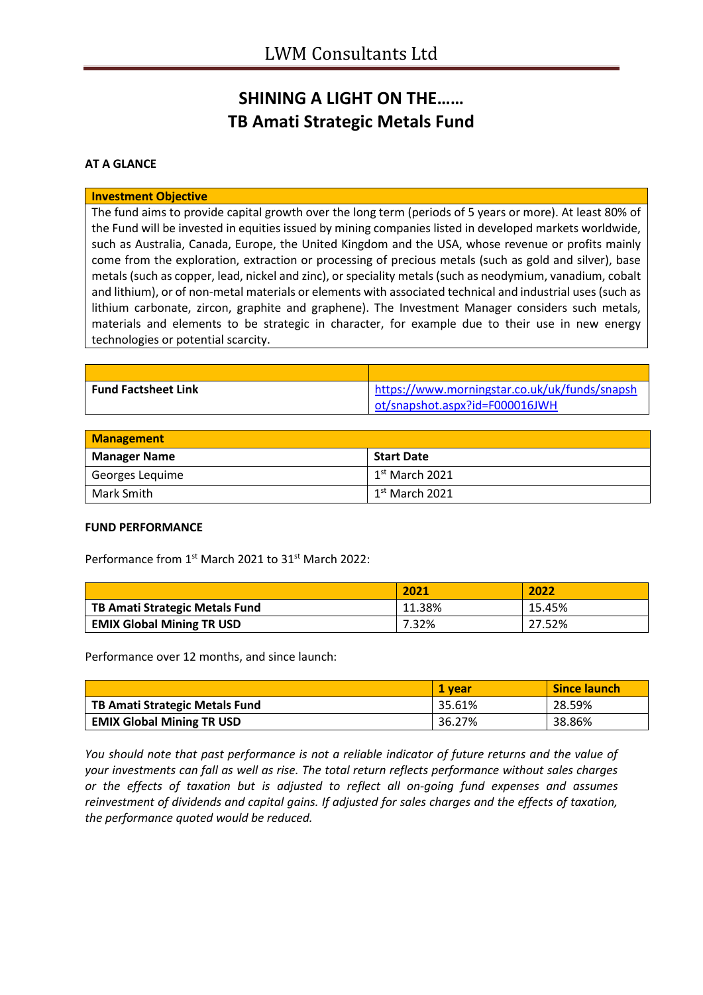## **SHINING A LIGHT ON THE…… TB Amati Strategic Metals Fund**

### **AT A GLANCE**

#### **Investment Objective**

The fund aims to provide capital growth over the long term (periods of 5 years or more). At least 80% of the Fund will be invested in equities issued by mining companies listed in developed markets worldwide, such as Australia, Canada, Europe, the United Kingdom and the USA, whose revenue or profits mainly come from the exploration, extraction or processing of precious metals (such as gold and silver), base metals (such as copper, lead, nickel and zinc), or speciality metals (such as neodymium, vanadium, cobalt and lithium), or of non-metal materials or elements with associated technical and industrial uses (such as lithium carbonate, zircon, graphite and graphene). The Investment Manager considers such metals, materials and elements to be strategic in character, for example due to their use in new energy technologies or potential scarcity.

| <b>Fund Factsheet Link</b> | https://www.morningstar.co.uk/uk/funds/snapsh |
|----------------------------|-----------------------------------------------|
|                            | $ot/s$ napshot.aspx?id=F000016JWH             |

| <b>Management</b>   |                   |  |
|---------------------|-------------------|--|
| <b>Manager Name</b> | <b>Start Date</b> |  |
| Georges Lequime     | $1st$ March 2021  |  |
| Mark Smith          | $1st$ March 2021  |  |

#### **FUND PERFORMANCE**

Performance from 1<sup>st</sup> March 2021 to 31<sup>st</sup> March 2022:

|                                       | 2021   | 2022   |
|---------------------------------------|--------|--------|
| <b>TB Amati Strategic Metals Fund</b> | 11.38% | 15.45% |
| <b>EMIX Global Mining TR USD</b>      | 7.32%  | 27.52% |

Performance over 12 months, and since launch:

|                                  | 1 vear | <b>Since launch</b> |
|----------------------------------|--------|---------------------|
| TB Amati Strategic Metals Fund   | 35.61% | 28.59%              |
| <b>EMIX Global Mining TR USD</b> | 36.27% | 38.86%              |

*You should note that past performance is not a reliable indicator of future returns and the value of your investments can fall as well as rise. The total return reflects performance without sales charges or the effects of taxation but is adjusted to reflect all on-going fund expenses and assumes reinvestment of dividends and capital gains. If adjusted for sales charges and the effects of taxation, the performance quoted would be reduced.*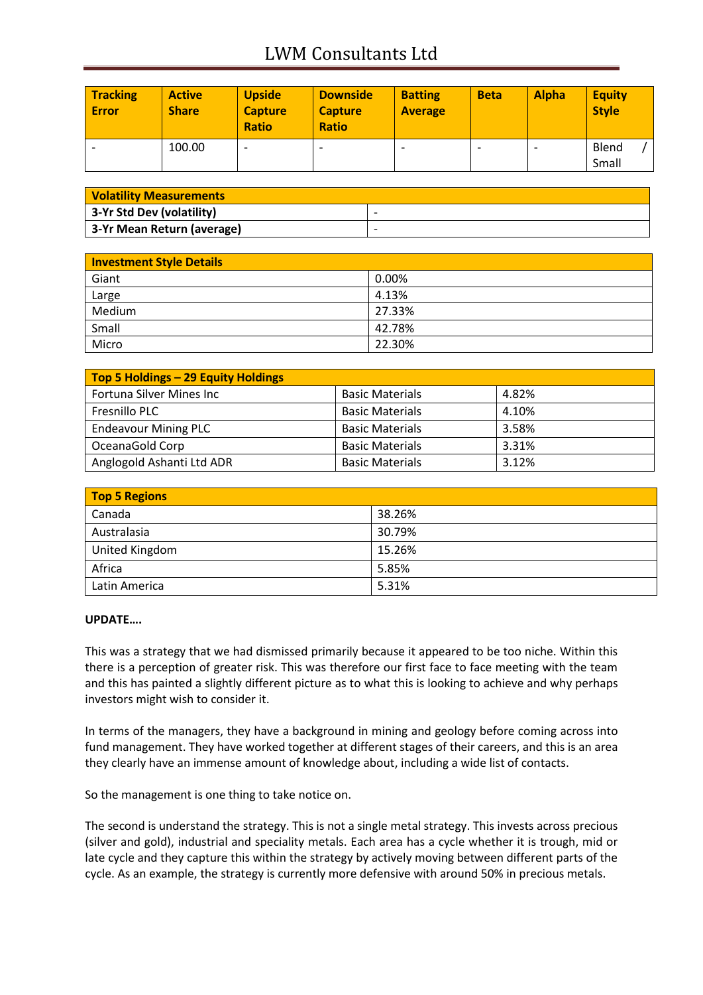# LWM Consultants Ltd

| <b>Tracking</b><br><b>Error</b> | <b>Active</b><br><b>Share</b> | <b>Upside</b><br><b>Capture</b><br><b>Ratio</b> | <b>Downside</b><br><b>Capture</b><br><b>Ratio</b> | <b>Batting</b><br><b>Average</b> | <b>Beta</b> | <b>Alpha</b> | <b>Equity</b><br><b>Style</b> |
|---------------------------------|-------------------------------|-------------------------------------------------|---------------------------------------------------|----------------------------------|-------------|--------------|-------------------------------|
|                                 | 100.00                        |                                                 | -                                                 |                                  |             |              | Blend<br>Small                |

| <b>Volatility Measurements</b> |                          |  |
|--------------------------------|--------------------------|--|
| 3-Yr Std Dev (volatility)      | $\overline{\phantom{0}}$ |  |
| 3-Yr Mean Return (average)     | $\overline{\phantom{0}}$ |  |

| <b>Investment Style Details</b> |        |  |
|---------------------------------|--------|--|
| Giant                           | 0.00%  |  |
| Large                           | 4.13%  |  |
| Medium                          | 27.33% |  |
| Small                           | 42.78% |  |
| Micro                           | 22.30% |  |

| Top 5 Holdings - 29 Equity Holdings |                        |       |
|-------------------------------------|------------------------|-------|
| Fortuna Silver Mines Inc            | <b>Basic Materials</b> | 4.82% |
| Fresnillo PLC                       | <b>Basic Materials</b> | 4.10% |
| <b>Endeavour Mining PLC</b>         | <b>Basic Materials</b> | 3.58% |
| OceanaGold Corp                     | <b>Basic Materials</b> | 3.31% |
| Anglogold Ashanti Ltd ADR           | <b>Basic Materials</b> | 3.12% |

| <b>Top 5 Regions</b> |        |  |
|----------------------|--------|--|
| Canada               | 38.26% |  |
| Australasia          | 30.79% |  |
| United Kingdom       | 15.26% |  |
| Africa               | 5.85%  |  |
| Latin America        | 5.31%  |  |

#### **UPDATE….**

This was a strategy that we had dismissed primarily because it appeared to be too niche. Within this there is a perception of greater risk. This was therefore our first face to face meeting with the team and this has painted a slightly different picture as to what this is looking to achieve and why perhaps investors might wish to consider it.

In terms of the managers, they have a background in mining and geology before coming across into fund management. They have worked together at different stages of their careers, and this is an area they clearly have an immense amount of knowledge about, including a wide list of contacts.

So the management is one thing to take notice on.

The second is understand the strategy. This is not a single metal strategy. This invests across precious (silver and gold), industrial and speciality metals. Each area has a cycle whether it is trough, mid or late cycle and they capture this within the strategy by actively moving between different parts of the cycle. As an example, the strategy is currently more defensive with around 50% in precious metals.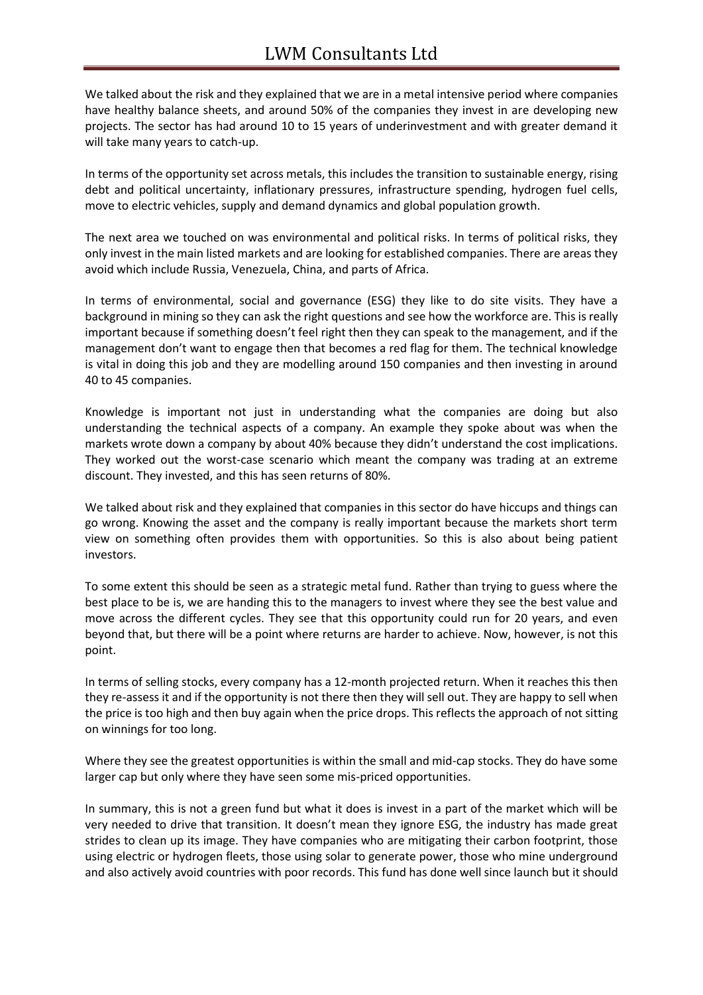We talked about the risk and they explained that we are in a metal intensive period where companies have healthy balance sheets, and around 50% of the companies they invest in are developing new projects. The sector has had around 10 to 15 years of underinvestment and with greater demand it will take many years to catch-up.

In terms of the opportunity set across metals, this includes the transition to sustainable energy, rising debt and political uncertainty, inflationary pressures, infrastructure spending, hydrogen fuel cells, move to electric vehicles, supply and demand dynamics and global population growth.

The next area we touched on was environmental and political risks. In terms of political risks, they only invest in the main listed markets and are looking for established companies. There are areas they avoid which include Russia, Venezuela, China, and parts of Africa.

In terms of environmental, social and governance (ESG) they like to do site visits. They have a background in mining so they can ask the right questions and see how the workforce are. This is really important because if something doesn't feel right then they can speak to the management, and if the management don't want to engage then that becomes a red flag for them. The technical knowledge is vital in doing this job and they are modelling around 150 companies and then investing in around 40 to 45 companies.

Knowledge is important not just in understanding what the companies are doing but also understanding the technical aspects of a company. An example they spoke about was when the markets wrote down a company by about 40% because they didn't understand the cost implications. They worked out the worst-case scenario which meant the company was trading at an extreme discount. They invested, and this has seen returns of 80%.

We talked about risk and they explained that companies in this sector do have hiccups and things can go wrong. Knowing the asset and the company is really important because the markets short term view on something often provides them with opportunities. So this is also about being patient investors.

To some extent this should be seen as a strategic metal fund. Rather than trying to guess where the best place to be is, we are handing this to the managers to invest where they see the best value and move across the different cycles. They see that this opportunity could run for 20 years, and even beyond that, but there will be a point where returns are harder to achieve. Now, however, is not this point.

In terms of selling stocks, every company has a 12-month projected return. When it reaches this then they re-assess it and if the opportunity is not there then they will sell out. They are happy to sell when the price is too high and then buy again when the price drops. This reflects the approach of not sitting on winnings for too long.

Where they see the greatest opportunities is within the small and mid-cap stocks. They do have some larger cap but only where they have seen some mis-priced opportunities.

In summary, this is not a green fund but what it does is invest in a part of the market which will be very needed to drive that transition. It doesn't mean they ignore ESG, the industry has made great strides to clean up its image. They have companies who are mitigating their carbon footprint, those using electric or hydrogen fleets, those using solar to generate power, those who mine underground and also actively avoid countries with poor records. This fund has done well since launch but it should